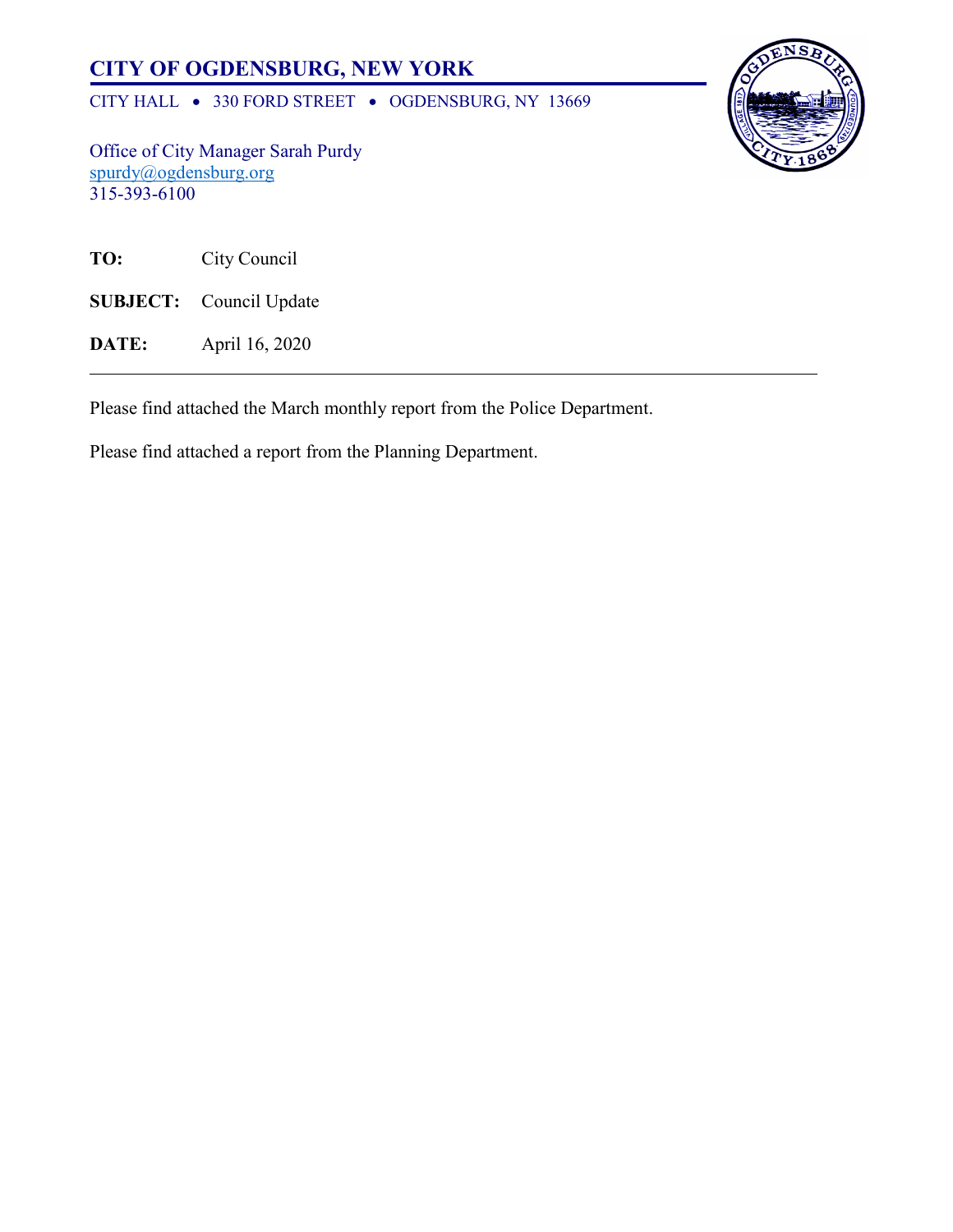# **CITY OF OGDENSBURG, NEW YORK**

CITY HALL • 330 FORD STREET • OGDENSBURG, NY 13669



Office of City Manager Sarah Purdy [spurdy@ogdensburg.org](mailto:spurdy@ogdensburg.org) 315-393-6100

| TO: | City Council |
|-----|--------------|
|     |              |

**SUBJECT:** Council Update

**DATE:** April 16, 2020

Please find attached the March monthly report from the Police Department.

Please find attached a report from the Planning Department.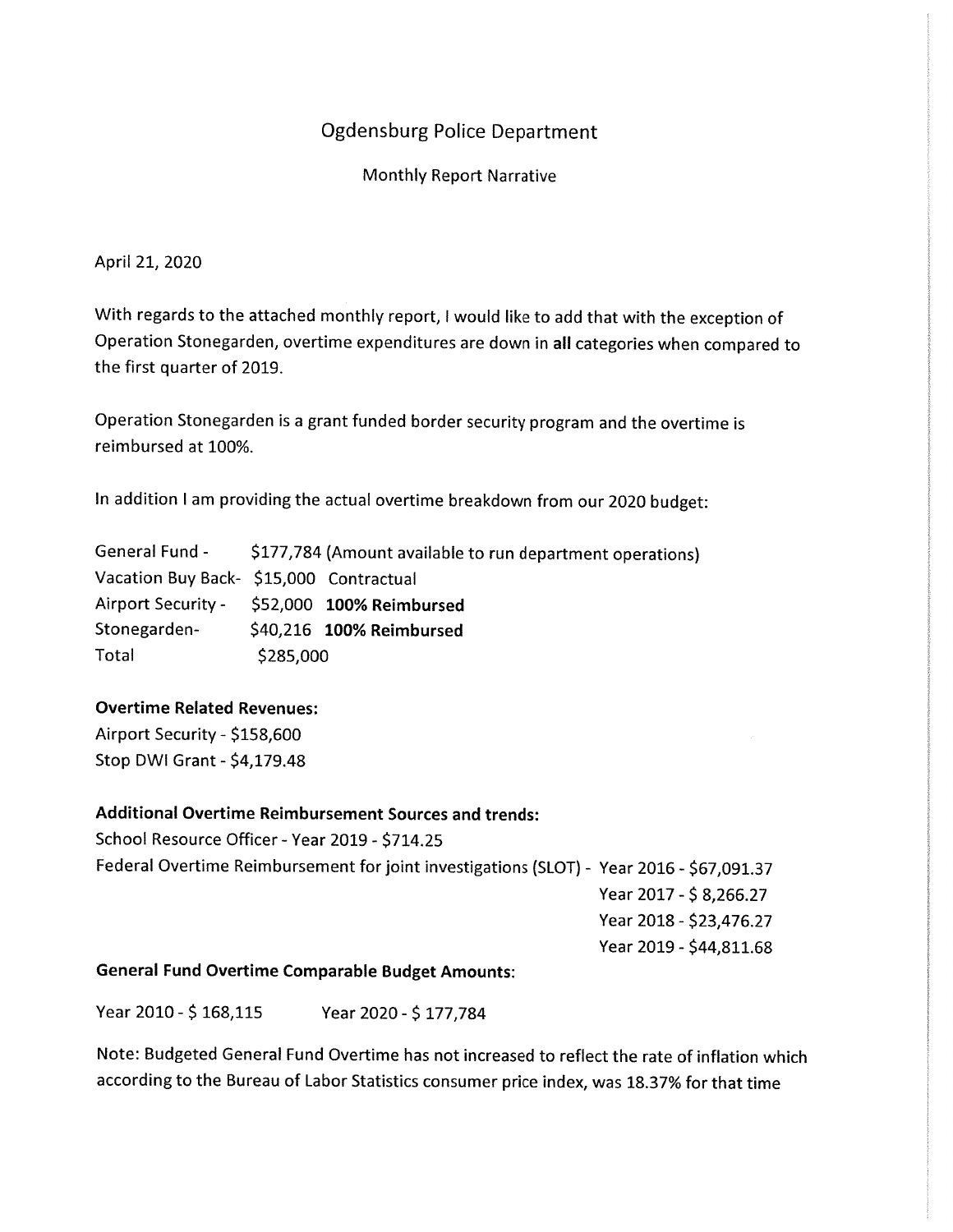## **Ogdensburg Police Department**

**Monthly Report Narrative** 

April 21, 2020

With regards to the attached monthly report, I would like to add that with the exception of Operation Stonegarden, overtime expenditures are down in all categories when compared to the first quarter of 2019.

Operation Stonegarden is a grant funded border security program and the overtime is reimbursed at 100%.

In addition I am providing the actual overtime breakdown from our 2020 budget:

General Fund -\$177,784 (Amount available to run department operations) Vacation Buy Back- \$15,000 Contractual **Airport Security -**\$52,000 100% Reimbursed Stonegarden-\$40,216 100% Reimbursed Total \$285,000

#### **Overtime Related Revenues:**

Airport Security - \$158,600 Stop DWI Grant - \$4,179.48

### **Additional Overtime Reimbursement Sources and trends:**

School Resource Officer - Year 2019 - \$714.25 Federal Overtime Reimbursement for joint investigations (SLOT) - Year 2016 - \$67,091.37 Year 2017 - \$8,266.27 Year 2018 - \$23,476.27 Year 2019 - \$44,811.68

#### **General Fund Overtime Comparable Budget Amounts:**

Year 2010 - \$168,115 Year 2020 - \$177,784

Note: Budgeted General Fund Overtime has not increased to reflect the rate of inflation which according to the Bureau of Labor Statistics consumer price index, was 18.37% for that time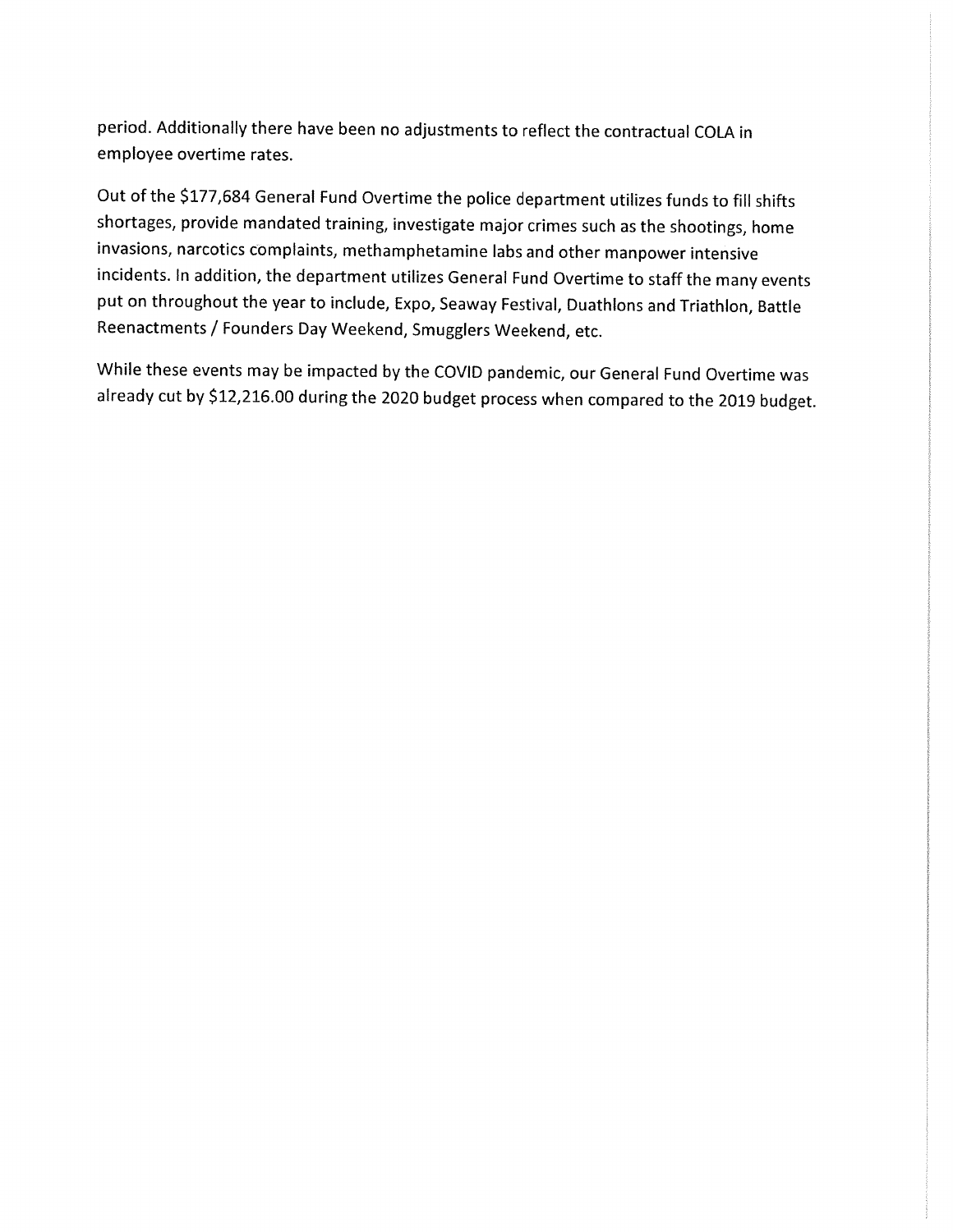period. Additionally there have been no adjustments to reflect the contractual COLA in employee overtime rates.

Out of the \$177,684 General Fund Overtime the police department utilizes funds to fill shifts shortages, provide mandated training, investigate major crimes such as the shootings, home invasions, narcotics complaints, methamphetamine labs and other manpower intensive incidents. In addition, the department utilizes General Fund Overtime to staff the many events put on throughout the year to include, Expo, Seaway Festival, Duathlons and Triathlon, Battle Reenactments / Founders Day Weekend, Smugglers Weekend, etc.

While these events may be impacted by the COVID pandemic, our General Fund Overtime was already cut by \$12,216.00 during the 2020 budget process when compared to the 2019 budget.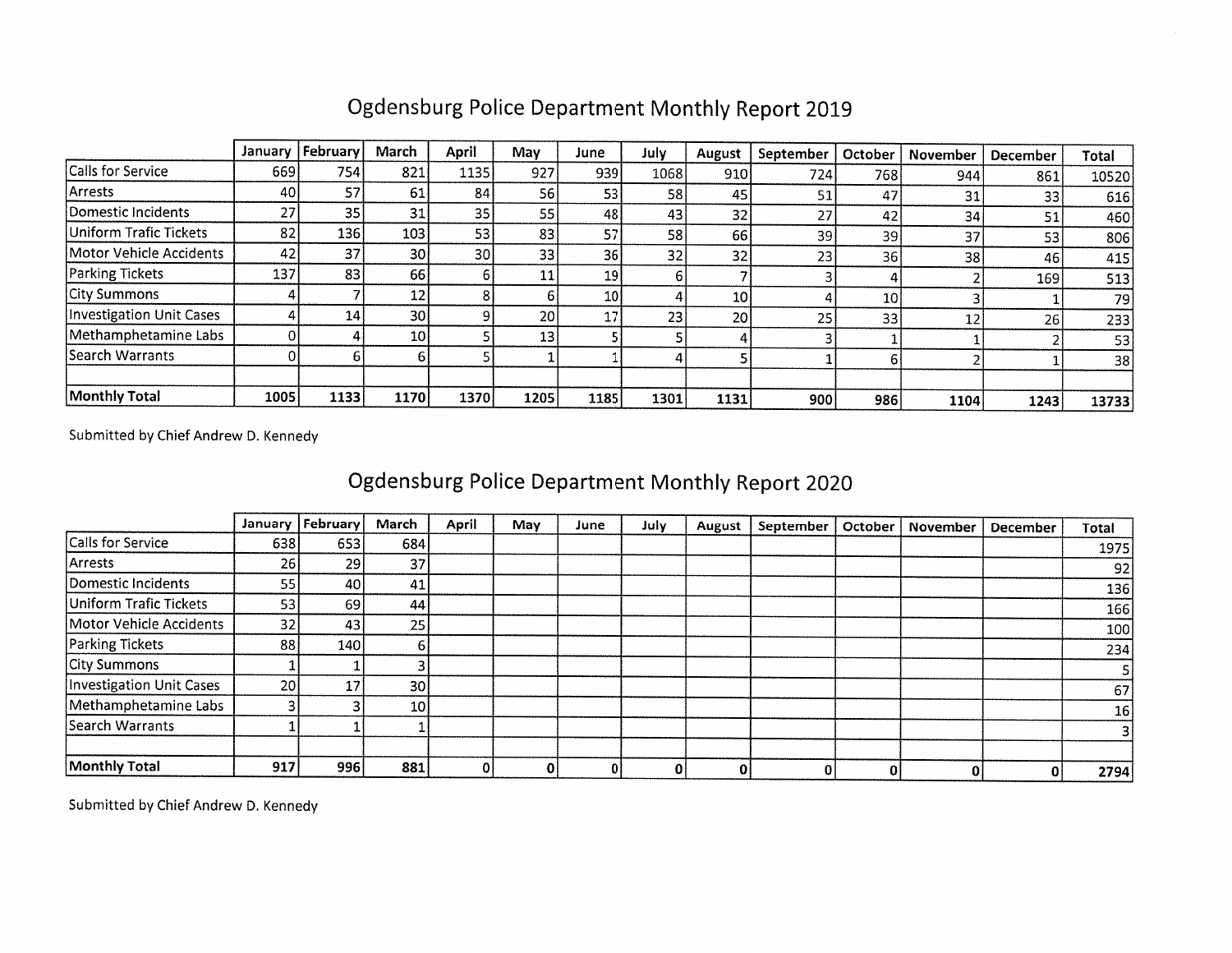## Ogdensburg Police Department Monthly Report 2019

|                          | January | February | March     | April | May  | June            | July | August          | September | October | November | December | Total |
|--------------------------|---------|----------|-----------|-------|------|-----------------|------|-----------------|-----------|---------|----------|----------|-------|
| Calls for Service        | 669     | 754      | 821       | 1135  | 927  | 939             | 1068 | 910             | 724       | 768     | 944      | 861      | 10520 |
| Arrests                  | 40      | 57       | 61        | 84    | 56   | 53              | 58   | 45              | 51        | 47      | 31       | 33       | 616   |
| Domestic Incidents       | 27      | 35       | 31        | 35    | 55   | 48              | 43   | 32              | 27        | 42      | 34       | 51       | 460   |
| Uniform Trafic Tickets   | 82      | 136      | 103       | 531   | 83   | 57              | 58   | 66              | 39        | 39      | 37       | 53       | 806   |
| Motor Vehicle Accidents  | 42      | 37       | 30        | 30I   | 33   | 36              | 32   | 32 <sub>1</sub> | 23        | 36      | 38       | 46       | 415   |
| <b>Parking Tickets</b>   | 137     | 83       | 66        |       | 11   | 19              |      |                 |           |         |          | 169      | 513   |
| City Summons             |         |          | 12        |       |      | 10 <sup>1</sup> |      | 10I             |           | 10      |          |          | 79)   |
| Investigation Unit Cases |         | 14       | 30I       |       | 20 l | 17              | 23   | 20              | 25        | 33      | 12       | 26       | 233   |
| Methamphetamine Labs     |         |          | <b>10</b> |       | 13   |                 |      |                 |           |         |          |          | 53    |
| Search Warrants          |         |          |           |       |      |                 |      |                 |           |         |          |          | 38    |
|                          |         |          |           |       |      |                 |      |                 |           |         |          |          |       |
| Monthly Total            | 1005    | 1133     | 1170      | 1370  | 1205 | 1185            | 1301 | 1131            | 900       | 986     | 1104     | 1243     | 13733 |

Submitted by Chief Andrew D. Kennedy

# Ogdensburg Police Department Monthly Report 2020

|                          | January | February        | March           | April | May | June | July | August | September | October | November | December | Total |
|--------------------------|---------|-----------------|-----------------|-------|-----|------|------|--------|-----------|---------|----------|----------|-------|
| Calls for Service        | 638     | 6531            | 684             |       |     |      |      |        |           |         |          |          | 1975  |
| <b>Arrests</b>           | 26      | <b>291</b>      | 37              |       |     |      |      |        |           |         |          |          | 92    |
| Domestic Incidents       | 55      | 40 l            | 41              |       |     |      |      |        |           |         |          |          | 136   |
| Uniform Trafic Tickets   | 53      | 69              | 44              |       |     |      |      |        |           |         |          |          | 166   |
| Motor Vehicle Accidents  | 32      | 431             | 25              |       |     |      |      |        |           |         |          |          | 100   |
| Parking Tickets          | 88      | 140 l           |                 |       |     |      |      |        |           |         |          |          | 234   |
| <b>City Summons</b>      |         |                 |                 |       |     |      |      |        |           |         |          |          |       |
| Investigation Unit Cases | 20      | 17 <sub>1</sub> | 30 <sup>1</sup> |       |     |      |      |        |           |         |          |          | 67    |
| Methamphetamine Labs     |         |                 | 10 <sub>1</sub> |       |     |      |      |        |           |         |          |          | 16    |
| Search Warrants          |         |                 |                 |       |     |      |      |        |           |         |          |          |       |
|                          |         |                 |                 |       |     |      |      |        |           |         |          |          |       |
| Monthly Total            | 917     | 996             | 881             |       |     |      |      |        |           | 01      | 0        |          | 2794  |

Submitted by Chief Andrew D. Kennedy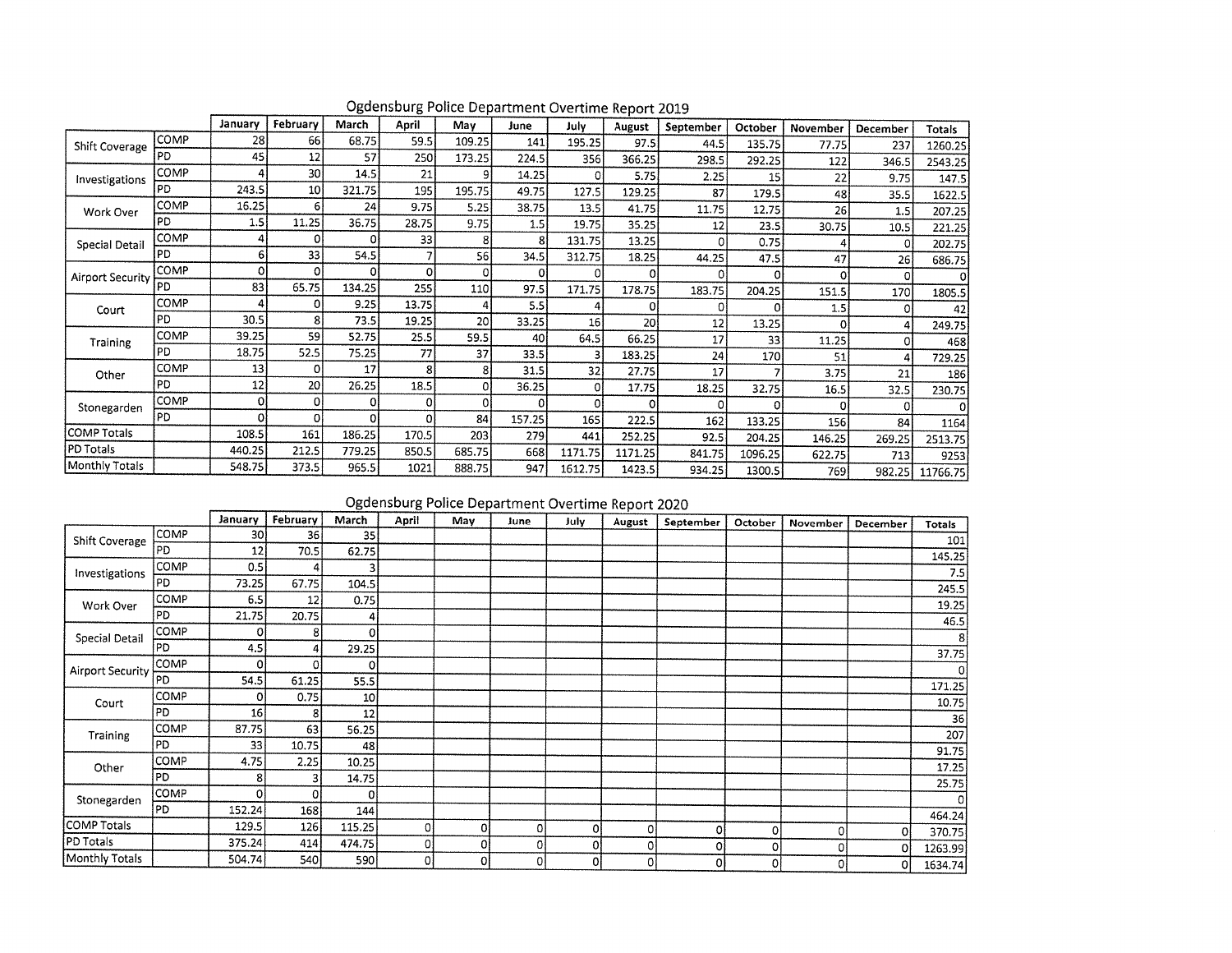|                         |      | January | February        | March  | April    | Mav    | June   | July.   | August  | September | October | November | December | Totals   |
|-------------------------|------|---------|-----------------|--------|----------|--------|--------|---------|---------|-----------|---------|----------|----------|----------|
| Shift Coverage          | COMP | 28      | 66              | 68.75  | 59.5     | 109.25 | 141    | 195.25  | 97.5    | 44.5      | 135.75  | 77.75    | 237      | 1260.25  |
|                         | PD   | 45      | 12              | 57     | 250      | 173.25 | 224.5  | 356     | 366.25  | 298.5     | 292.25  | 122      | 346.5    | 2543.25  |
| Investigations          | COMP |         | 30              | 14.5   | 21       |        | 14.25  | 0       | 5.75    | 2.25      | 15      | 22       | 9.75     | 147.5    |
|                         | PD   | 243.5   | 10 <sup>1</sup> | 321.75 | 195      | 195.75 | 49.75  | 127.5   | 129.25  | 87        | 179.5   | 48       | 35.5     | 1622.5   |
| Work Over               | COMP | 16.25   | 6               | 24     | 9.75     | 5.25   | 38.75  | 13.5    | 41.75   | 11.75     | 12.75   | 26       | 1.5      | 207.25   |
|                         | PD   | 1.5     | 11.25           | 36.75  | 28.75    | 9.75   | 1.5    | 19.75   | 35.25   | 12        | 23.5    | 30.75    | 10.5     | 221.25   |
| Special Detail          | COMP |         | 01              | Ω      | 33       |        | 8      | 131.75  | 13.25   |           | 0.75    |          | 0        | 202.75   |
|                         | PD   | 61      | 33              | 54.5   |          | 56     | 34.5   | 312.75  | 18.25   | 44.25     | 47.5    | 47       | 26       | 686.75   |
| <b>Airport Security</b> | COMP | οl      | ٥I              | O      | $\Omega$ |        | 0      | Ω       | 0       |           |         | $\Omega$ | $\Omega$ | 0        |
|                         | PD   | 83      | 65.75           | 134.25 | 255      | 110    | 97.5   | 171.75  | 178.75  | 183.75    | 204.25  | 151.5    | 170      | 1805.5   |
| Court                   | COMP |         | ο               | 9.25   | 13.75    |        | 5.5    |         | Ω       |           |         | 1.5      | Ω        | 42       |
|                         | PD   | 30.5    | 8               | 73.5   | 19.25    | 20     | 33.25  | 16      | 20      | 12        | 13.25   |          | 4        | 249.75   |
| Training                | COMP | 39.25   | 59              | 52.75  | 25.5     | 59.5   | 40     | 64.5    | 66.25   | 17        | 33      | 11.25    | n        | 468      |
|                         | PD   | 18.75   | 52.5            | 75.25  | 77       | 37     | 33.5   |         | 183.25  | 24        | 170     | 51       |          | 729.25   |
| Other                   | COMP | 13      | ΩI              | 17     | 8        |        | 31.5   | 32      | 27.75   | 17        |         | 3.75     | 21       | 186      |
|                         | PD   | 12      | 20              | 26.25  | 18.5     |        | 36.25  | 0       | 17.75   | 18.25     | 32.75   | 16.5     | 32.5     | 230.75   |
| Stonegarden             | COMP | 0l      | 0               | ٥      | $\Omega$ |        |        | ٥I      | 0       |           |         |          | 0        | 0        |
|                         | PD   |         | o               | Ω      | 0        | 84     | 157.25 | 165     | 222.5   | 162       | 133.25  | 156      | 84       | 1164     |
| <b>COMP Totals</b>      |      | 108.5   | 161             | 186.25 | 170.5    | 203    | 279    | 441     | 252.25  | 92.5      | 204.25  | 146.25   | 269.25   | 2513.75  |
| <b>PD Totals</b>        |      | 440.25  | 212.5           | 779.25 | 850.5    | 685.75 | 668    | 1171.75 | 1171.25 | 841.75    | 1096.25 | 622.75   | 713      | 9253     |
| Monthly Totals          |      | 548.75  | 373.5           | 965.5  | 1021     | 888.75 | 947    | 1612.75 | 1423.5  | 934.25    | 1300.5  | 769      | 982.25   | 11766.75 |

Ogdensburg Police Department Overtime Report 2019

## Ogdensburg Police Department Overtime Report 2020

|                         |      | January | February | March           | April | May | June | July | August | September | October | November       | December | Totals  |
|-------------------------|------|---------|----------|-----------------|-------|-----|------|------|--------|-----------|---------|----------------|----------|---------|
| Shift Coverage          | COMP | 30      | 36       | 35              |       |     |      |      |        |           |         |                |          | 101     |
|                         | PD   | 12      | 70.5     | 62.75           |       |     |      |      |        |           |         |                |          | 145.25  |
| Investigations          | COMP | 0.5     |          |                 |       |     |      |      |        |           |         |                |          | 7.5     |
|                         | PD   | 73.25   | 67.75    | 104.5           |       |     |      |      |        |           |         |                |          | 245.5   |
| Work Over               | COMP | 6.5     | 12       | 0.75            |       |     |      |      |        |           |         |                |          | 19.25   |
|                         | PD   | 21.75   | 20.75    | 4               |       |     |      |      |        |           |         |                |          | 46.5    |
|                         | COMP |         | 8        | o               |       |     |      |      |        |           |         |                |          | 8       |
| Special Detail          | IPD  | 4.5     | Δ        | 29.25           |       |     |      |      |        |           |         |                |          | 37.75   |
|                         | COMP |         | O        | ٥               |       |     |      |      |        |           |         |                |          |         |
| <b>Airport Security</b> | l PD | 54.5    | 61.25    | 55.5            |       |     |      |      |        |           |         |                |          | 0       |
|                         | COMP | 0       | 0.75     | 10 <sup>1</sup> |       |     |      |      |        |           |         |                |          | 171.25  |
| Court                   | PD   | 16      | 8        | 12              |       |     |      |      |        |           |         |                |          | 10.75   |
|                         | COMP | 87.75   | 63       | 56.25           |       |     |      |      |        |           |         |                |          | 36      |
| Training                | l PD | 33      | 10.75    | 48              |       |     |      |      |        |           |         |                |          | 207     |
|                         | COMP | 4.75    | 2.25     | 10.25           |       |     |      |      |        |           |         |                |          | 91.75   |
| Other                   | PD   | 8.      |          | 14.75           |       |     |      |      |        |           |         |                |          | 17.25   |
|                         | COMP | 01      | 01       | 0               |       |     |      |      |        |           |         |                |          | 25.75   |
| Stonegarden             | PD   | 152.24  | 168      | 144             |       |     |      |      |        |           |         |                |          | 0       |
| COMP Totals             |      | 129.5   | 126      | 115.25          | 0l    | 0   | 0    | 0    |        |           |         |                |          | 464.24  |
| PD Totals               |      | 375.24  | 414      | 474.75          | ٥I    |     |      |      | 0      | 0         | 0       | O <sub>i</sub> | 0.       | 370.75  |
| Monthly Totals          |      | 504.74  |          | 590             |       | 0   | 0    | 0    | 0      | 0         | 0       | $\mathbf 0$    | 0        | 1263.99 |
|                         |      |         | 540      |                 | 0I    | 0   | 0    | 01   | οI     | 이         | ٥l      | $\mathbf{0}$   | 0        | 1634.74 |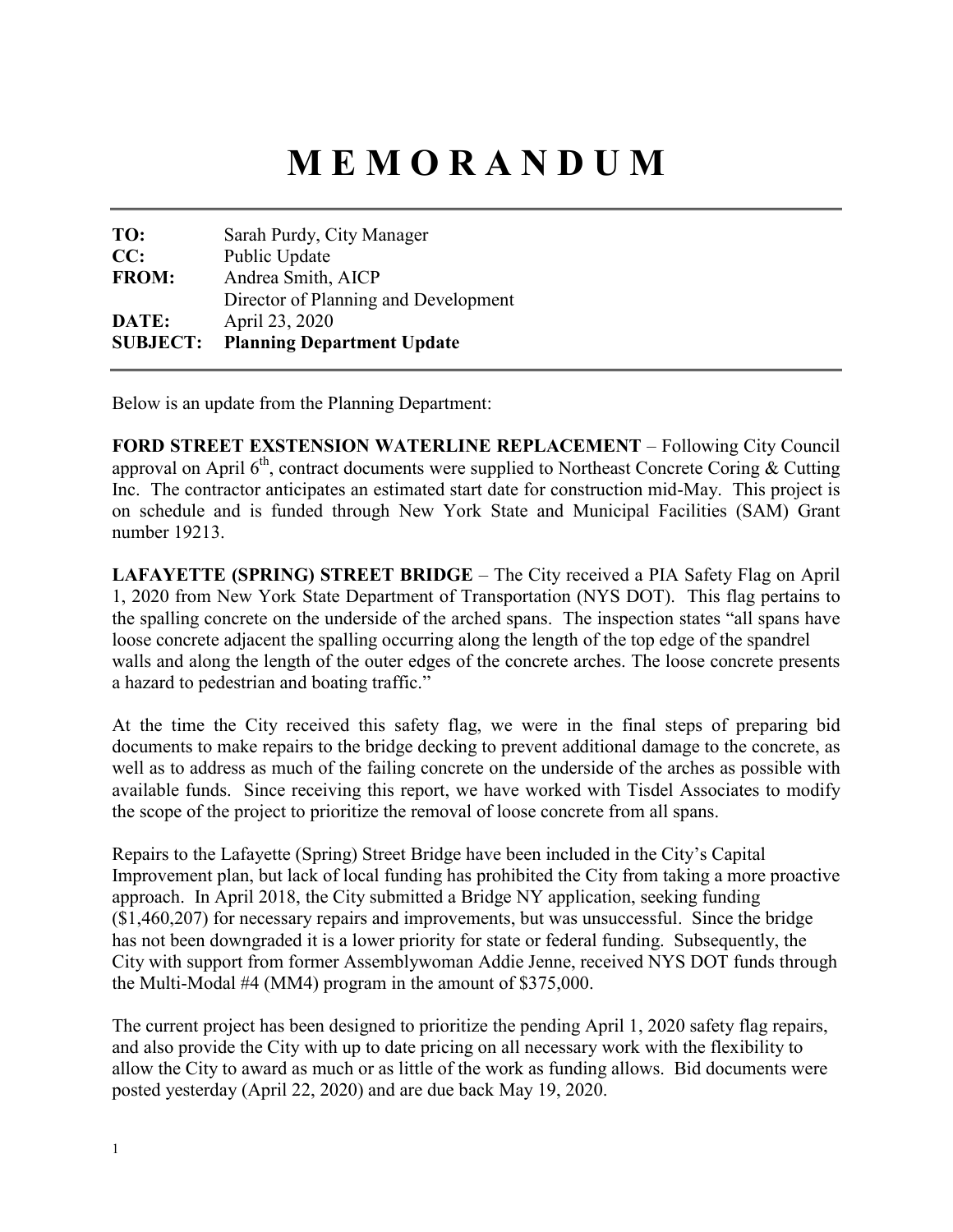# **M E M O R A N D U M**

| <b>SUBJECT:</b> | <b>Planning Department Update</b>    |
|-----------------|--------------------------------------|
| DATE:           | April 23, 2020                       |
|                 | Director of Planning and Development |
| <b>FROM:</b>    | Andrea Smith, AICP                   |
| CC:             | Public Update                        |
| TO:             | Sarah Purdy, City Manager            |

Below is an update from the Planning Department:

**FORD STREET EXSTENSION WATERLINE REPLACEMENT** – Following City Council approval on April  $6<sup>th</sup>$ , contract documents were supplied to Northeast Concrete Coring & Cutting Inc. The contractor anticipates an estimated start date for construction mid-May. This project is on schedule and is funded through New York State and Municipal Facilities (SAM) Grant number 19213.

**LAFAYETTE (SPRING) STREET BRIDGE** – The City received a PIA Safety Flag on April 1, 2020 from New York State Department of Transportation (NYS DOT). This flag pertains to the spalling concrete on the underside of the arched spans. The inspection states "all spans have loose concrete adjacent the spalling occurring along the length of the top edge of the spandrel walls and along the length of the outer edges of the concrete arches. The loose concrete presents a hazard to pedestrian and boating traffic."

At the time the City received this safety flag, we were in the final steps of preparing bid documents to make repairs to the bridge decking to prevent additional damage to the concrete, as well as to address as much of the failing concrete on the underside of the arches as possible with available funds. Since receiving this report, we have worked with Tisdel Associates to modify the scope of the project to prioritize the removal of loose concrete from all spans.

Repairs to the Lafayette (Spring) Street Bridge have been included in the City's Capital Improvement plan, but lack of local funding has prohibited the City from taking a more proactive approach. In April 2018, the City submitted a Bridge NY application, seeking funding (\$1,460,207) for necessary repairs and improvements, but was unsuccessful. Since the bridge has not been downgraded it is a lower priority for state or federal funding. Subsequently, the City with support from former Assemblywoman Addie Jenne, received NYS DOT funds through the Multi-Modal #4 (MM4) program in the amount of \$375,000.

The current project has been designed to prioritize the pending April 1, 2020 safety flag repairs, and also provide the City with up to date pricing on all necessary work with the flexibility to allow the City to award as much or as little of the work as funding allows. Bid documents were posted yesterday (April 22, 2020) and are due back May 19, 2020.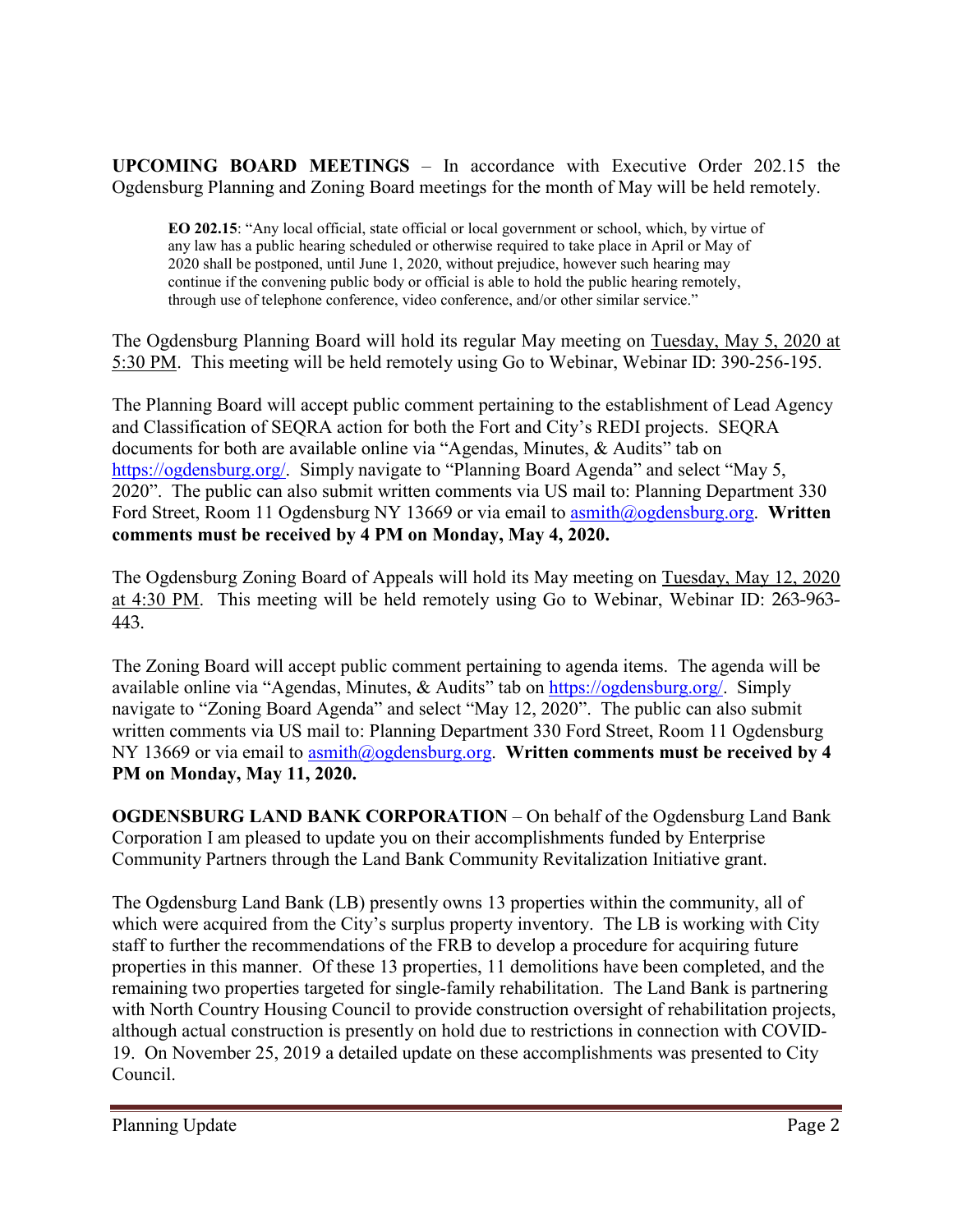**UPCOMING BOARD MEETINGS** – In accordance with Executive Order 202.15 the Ogdensburg Planning and Zoning Board meetings for the month of May will be held remotely.

**EO 202.15**: "Any local official, state official or local government or school, which, by virtue of any law has a public hearing scheduled or otherwise required to take place in April or May of 2020 shall be postponed, until June 1, 2020, without prejudice, however such hearing may continue if the convening public body or official is able to hold the public hearing remotely, through use of telephone conference, video conference, and/or other similar service."

The Ogdensburg Planning Board will hold its regular May meeting on Tuesday, May 5, 2020 at 5:30 PM. This meeting will be held remotely using Go to Webinar, Webinar ID: 390-256-195.

The Planning Board will accept public comment pertaining to the establishment of Lead Agency and Classification of SEQRA action for both the Fort and City's REDI projects. SEQRA documents for both are available online via "Agendas, Minutes, & Audits" tab on [https://ogdensburg.org/.](https://ogdensburg.org/) Simply navigate to "Planning Board Agenda" and select "May 5, 2020". The public can also submit written comments via US mail to: Planning Department 330 Ford Street, Room 11 Ogdensburg NY 13669 or via email to [asmith@ogdensburg.org.](mailto:asmith@ogdensburg.org) **Written comments must be received by 4 PM on Monday, May 4, 2020.**

The Ogdensburg Zoning Board of Appeals will hold its May meeting on Tuesday, May 12, 2020 at 4:30 PM. This meeting will be held remotely using Go to Webinar, Webinar ID: 263-963- 443.

The Zoning Board will accept public comment pertaining to agenda items. The agenda will be available online via "Agendas, Minutes, & Audits" tab on [https://ogdensburg.org/.](https://ogdensburg.org/) Simply navigate to "Zoning Board Agenda" and select "May 12, 2020". The public can also submit written comments via US mail to: Planning Department 330 Ford Street, Room 11 Ogdensburg NY 13669 or via email to [asmith@ogdensburg.org.](mailto:asmith@ogdensburg.org) **Written comments must be received by 4 PM on Monday, May 11, 2020.**

**OGDENSBURG LAND BANK CORPORATION** – On behalf of the Ogdensburg Land Bank Corporation I am pleased to update you on their accomplishments funded by Enterprise Community Partners through the Land Bank Community Revitalization Initiative grant.

The Ogdensburg Land Bank (LB) presently owns 13 properties within the community, all of which were acquired from the City's surplus property inventory. The LB is working with City staff to further the recommendations of the FRB to develop a procedure for acquiring future properties in this manner. Of these 13 properties, 11 demolitions have been completed, and the remaining two properties targeted for single-family rehabilitation. The Land Bank is partnering with North Country Housing Council to provide construction oversight of rehabilitation projects, although actual construction is presently on hold due to restrictions in connection with COVID-19. On November 25, 2019 a detailed update on these accomplishments was presented to City Council.